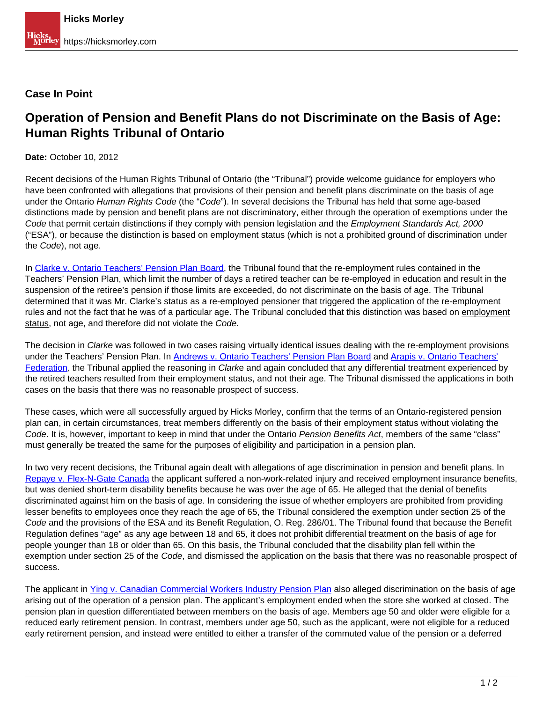## **Case In Point**

## **Operation of Pension and Benefit Plans do not Discriminate on the Basis of Age: Human Rights Tribunal of Ontario**

**Date:** October 10, 2012

Recent decisions of the Human Rights Tribunal of Ontario (the "Tribunal") provide welcome guidance for employers who have been confronted with allegations that provisions of their pension and benefit plans discriminate on the basis of age under the Ontario Human Rights Code (the "Code"). In several decisions the Tribunal has held that some age-based distinctions made by pension and benefit plans are not discriminatory, either through the operation of exemptions under the Code that permit certain distinctions if they comply with pension legislation and the Employment Standards Act, 2000 ("ESA"), or because the distinction is based on employment status (which is not a prohibited ground of discrimination under the Code), not age.

In [Clarke v. Ontario Teachers' Pension Plan Board](http://www.canlii.org/en/on/onhrt/doc/2010/2010hrto1123/2010hrto1123.html), the Tribunal found that the re-employment rules contained in the Teachers' Pension Plan, which limit the number of days a retired teacher can be re-employed in education and result in the suspension of the retiree's pension if those limits are exceeded, do not discriminate on the basis of age. The Tribunal determined that it was Mr. Clarke's status as a re-employed pensioner that triggered the application of the re-employment rules and not the fact that he was of a particular age. The Tribunal concluded that this distinction was based on employment status, not age, and therefore did not violate the Code.

The decision in *Clarke* was followed in two cases raising virtually identical issues dealing with the re-employment provisions under the Teachers' Pension Plan. In Andrews v. Ontario Teachers' Pension Plan Board and Arapis v. Ontario Teachers' Federation, the Tribunal applied the reasoning in *Clark*e and again concluded that any differential treatment experienced by the retired teachers resulted from their employment status, and not their age. The Tribunal dismissed the applications in both cases on the basis that there was no reasonable prospect of success.

These cases, which were all successfully argued by Hicks Morley, confirm that the terms of an Ontario-registered pension plan can, in certain circumstances, treat members differently on the basis of their employment status without violating the Code. It is, however, important to keep in mind that under the Ontario Pension Benefits Act, members of the same "class" must generally be treated the same for the purposes of eligibility and participation in a pension plan.

In two very recent decisions, the Tribunal again dealt with allegations of age discrimination in pension and benefit plans. In Repaye v. Flex-N-Gate Canada the applicant suffered a non-work-related injury and received employment insurance benefits, but was denied short-term disability benefits because he was over the age of 65. He alleged that the denial of benefits discriminated against him on the basis of age. In considering the issue of whether employers are prohibited from providing lesser benefits to employees once they reach the age of 65, the Tribunal considered the exemption under section 25 of the Code and the provisions of the ESA and its Benefit Regulation, O. Reg. 286/01. The Tribunal found that because the Benefit Regulation defines "age" as any age between 18 and 65, it does not prohibit differential treatment on the basis of age for people younger than 18 or older than 65. On this basis, the Tribunal concluded that the disability plan fell within the exemption under section 25 of the Code, and dismissed the application on the basis that there was no reasonable prospect of success.

The applicant in Ying v. Canadian Commercial Workers Industry Pension Plan also alleged discrimination on the basis of age arising out of the operation of a pension plan. The applicant's employment ended when the store she worked at closed. The pension plan in question differentiated between members on the basis of age. Members age 50 and older were eligible for a reduced early retirement pension. In contrast, members under age 50, such as the applicant, were not eligible for a reduced early retirement pension, and instead were entitled to either a transfer of the commuted value of the pension or a deferred